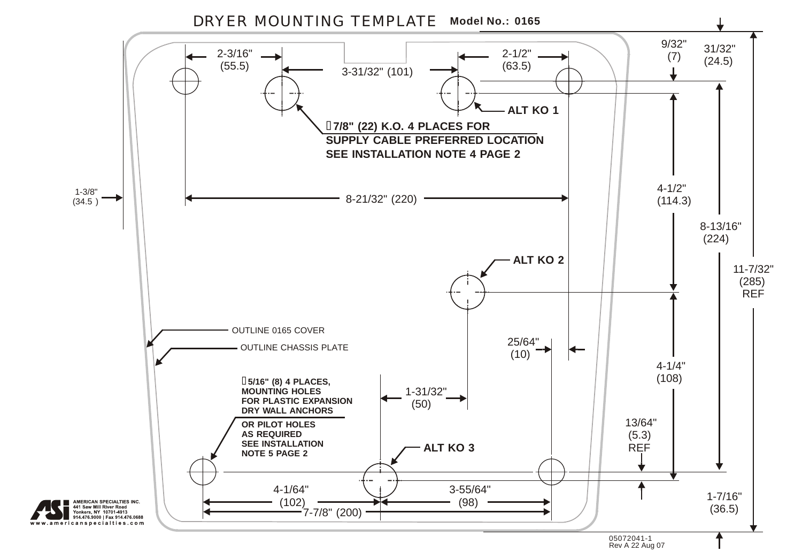DRYER MOUNTING TEMPLATE **Model No.: 0165**



www.americanspecialties.com